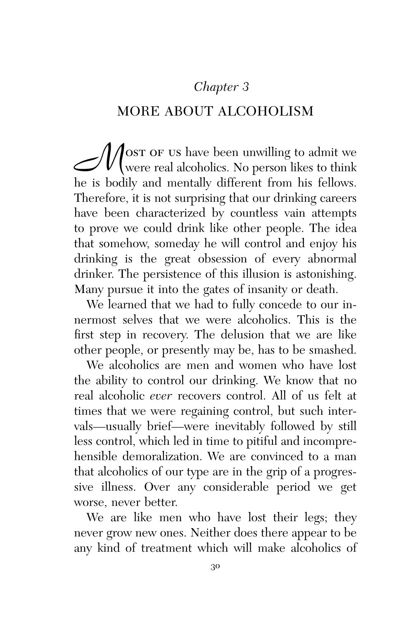## *Chapter 3*

## MORE ABOUT ALCOHOLISM

Most of us have been unwilling to admit we were real alcoholics. No person likes to think he is bodily and mentally different from his fellows. Therefore, it is not surprising that our drinking careers have been characterized by countless vain attempts to prove we could drink like other people. The idea that somehow, someday he will control and enjoy his drinking is the great obsession of every abnormal drinker. The persistence of this illusion is astonishing. Many pursue it into the gates of insanity or death.

We learned that we had to fully concede to our innermost selves that we were alcoholics. This is the first step in recovery. The delusion that we are like other people, or presently may be, has to be smashed.

We alcoholics are men and women who have lost the ability to control our drinking. We know that no real alcoholic *ever* recovers control. All of us felt at times that we were regaining control, but such intervals—usually brief—were inevitably followed by still less control, which led in time to pitiful and incomprehensible demoralization. We are convinced to a man that alcoholics of our type are in the grip of a progressive illness. Over any considerable period we get worse, never better.

We are like men who have lost their legs; they never grow new ones. Neither does there appear to be any kind of treatment which will make alcoholics of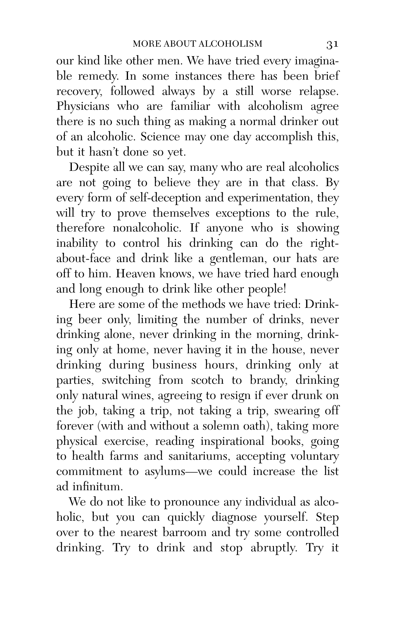our kind like other men. We have tried every imaginable remedy. In some instances there has been brief recovery, followed always by a still worse relapse. Physicians who are familiar with alcoholism agree there is no such thing as making a normal drinker out of an alcoholic. Science may one day accomplish this, but it hasn't done so yet.

Despite all we can say, many who are real alcoholics are not going to believe they are in that class. By every form of self-deception and experimentation, they will try to prove themselves exceptions to the rule, therefore nonalcoholic. If anyone who is showing inability to control his drinking can do the rightabout-face and drink like a gentleman, our hats are off to him. Heaven knows, we have tried hard enough and long enough to drink like other people!

Here are some of the methods we have tried: Drinking beer only, limiting the number of drinks, never drinking alone, never drinking in the morning, drinking only at home, never having it in the house, never drinking during business hours, drinking only at parties, switching from scotch to brandy, drinking only natural wines, agreeing to resign if ever drunk on the job, taking a trip, not taking a trip, swearing off forever (with and without a solemn oath), taking more physical exercise, reading inspirational books, going to health farms and sanitariums, accepting voluntary commitment to asylums—we could increase the list ad infinitum.

We do not like to pronounce any individual as alcoholic, but you can quickly diagnose yourself. Step over to the nearest barroom and try some controlled drinking. Try to drink and stop abruptly. Try it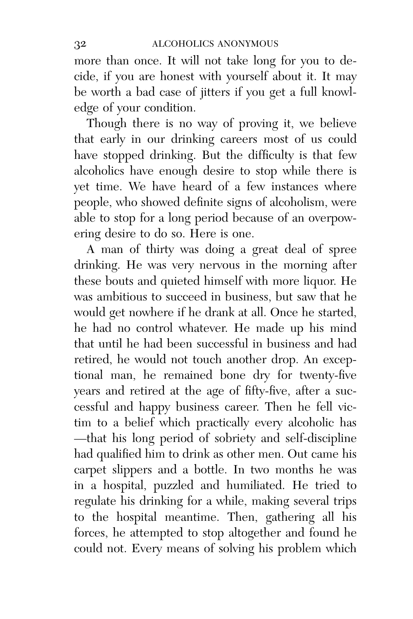more than once. It will not take long for you to decide, if you are honest with yourself about it. It may be worth a bad case of jitters if you get a full knowledge of your condition.

Though there is no way of proving it, we believe that early in our drinking careers most of us could have stopped drinking. But the difficulty is that few alcoholics have enough desire to stop while there is yet time. We have heard of a few instances where people, who showed definite signs of alcoholism, were able to stop for a long period because of an overpowering desire to do so. Here is one.

A man of thirty was doing a great deal of spree drinking. He was very nervous in the morning after these bouts and quieted himself with more liquor. He was ambitious to succeed in business, but saw that he would get nowhere if he drank at all. Once he started, he had no control whatever. He made up his mind that until he had been successful in business and had retired, he would not touch another drop. An exceptional man, he remained bone dry for twenty-five years and retired at the age of fifty-five, after a successful and happy business career. Then he fell victim to a belief which practically every alcoholic has —that his long period of sobriety and self-discipline had qualified him to drink as other men. Out came his carpet slippers and a bottle. In two months he was in a hospital, puzzled and humiliated. He tried to regulate his drinking for a while, making several trips to the hospital meantime. Then, gathering all his forces, he attempted to stop altogether and found he could not. Every means of solving his problem which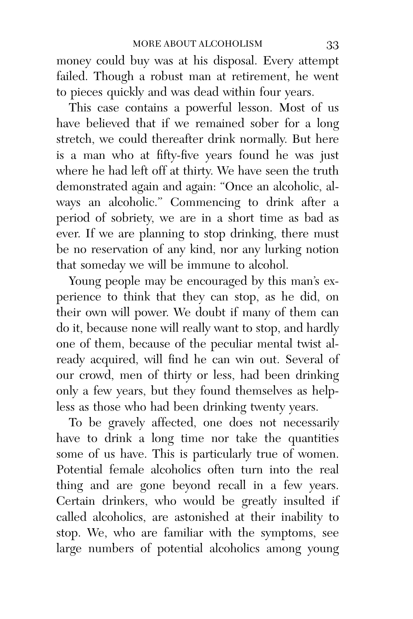money could buy was at his disposal. Every attempt failed. Though a robust man at retirement, he went to pieces quickly and was dead within four years.

This case contains a powerful lesson. Most of us have believed that if we remained sober for a long stretch, we could thereafter drink normally. But here is a man who at fifty-five years found he was just where he had left off at thirty. We have seen the truth demonstrated again and again: "Once an alcoholic, always an alcoholic.'' Commencing to drink after a period of sobriety, we are in a short time as bad as ever. If we are planning to stop drinking, there must be no reservation of any kind, nor any lurking notion that someday we will be immune to alcohol.

Young people may be encouraged by this man's experience to think that they can stop, as he did, on their own will power. We doubt if many of them can do it, because none will really want to stop, and hardly one of them, because of the peculiar mental twist already acquired, will find he can win out. Several of our crowd, men of thirty or less, had been drinking only a few years, but they found themselves as helpless as those who had been drinking twenty years.

To be gravely affected, one does not necessarily have to drink a long time nor take the quantities some of us have. This is particularly true of women. Potential female alcoholics often turn into the real thing and are gone beyond recall in a few years. Certain drinkers, who would be greatly insulted if called alcoholics, are astonished at their inability to stop. We, who are familiar with the symptoms, see large numbers of potential alcoholics among young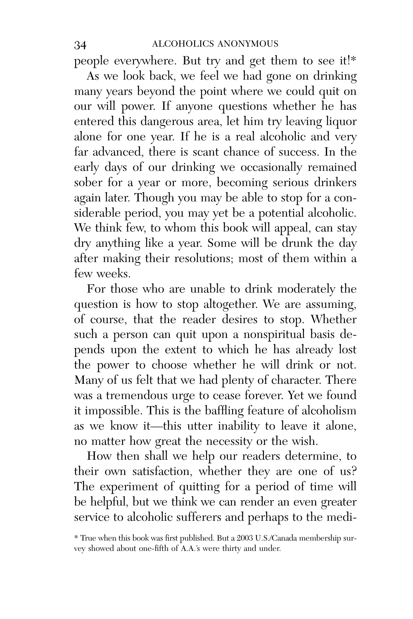people everywhere. But try and get them to see it!\*

As we look back, we feel we had gone on drinking many years beyond the point where we could quit on our will power. If anyone questions whether he has entered this dangerous area, let him try leaving liquor alone for one year. If he is a real alcoholic and very far advanced, there is scant chance of success. In the early days of our drinking we occasionally remained sober for a year or more, becoming serious drinkers again later. Though you may be able to stop for a considerable period, you may yet be a potential alcoholic. We think few, to whom this book will appeal, can stay dry anything like a year. Some will be drunk the day after making their resolutions; most of them within a few weeks.

For those who are unable to drink moderately the question is how to stop altogether. We are assuming, of course, that the reader desires to stop. Whether such a person can quit upon a nonspiritual basis depends upon the extent to which he has already lost the power to choose whether he will drink or not. Many of us felt that we had plenty of character. There was a tremendous urge to cease forever. Yet we found it impossible. This is the baffling feature of alcoholism as we know it—this utter inability to leave it alone, no matter how great the necessity or the wish.

How then shall we help our readers determine, to their own satisfaction, whether they are one of us? The experiment of quitting for a period of time will be helpful, but we think we can render an even greater service to alcoholic sufferers and perhaps to the medi-

<sup>\*</sup> True when this book was first published. But a 2003 U.S./Canada membership survey showed about one-fifth of A.A.'s were thirty and under.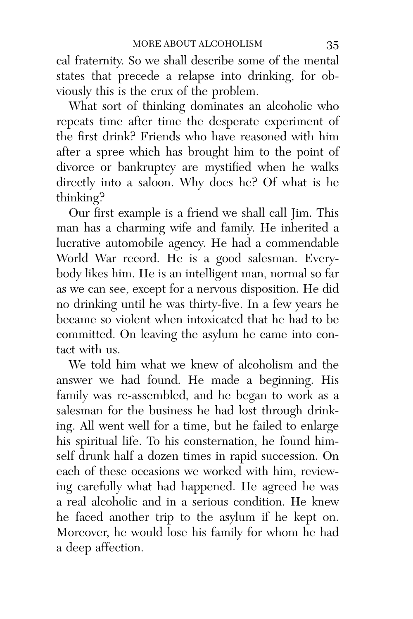cal fraternity. So we shall describe some of the mental states that precede a relapse into drinking, for obviously this is the crux of the problem.

What sort of thinking dominates an alcoholic who repeats time after time the desperate experiment of the first drink? Friends who have reasoned with him after a spree which has brought him to the point of divorce or bankruptcy are mystified when he walks directly into a saloon. Why does he? Of what is he thinking?

Our first example is a friend we shall call Jim. This man has a charming wife and family. He inherited a lucrative automobile agency. He had a commendable World War record. He is a good salesman. Everybody likes him. He is an intelligent man, normal so far as we can see, except for a nervous disposition. He did no drinking until he was thirty-five. In a few years he became so violent when intoxicated that he had to be committed. On leaving the asylum he came into contact with us.

We told him what we knew of alcoholism and the answer we had found. He made a beginning. His family was re-assembled, and he began to work as a salesman for the business he had lost through drinking. All went well for a time, but he failed to enlarge his spiritual life. To his consternation, he found himself drunk half a dozen times in rapid succession. On each of these occasions we worked with him, reviewing carefully what had happened. He agreed he was a real alcoholic and in a serious condition. He knew he faced another trip to the asylum if he kept on. Moreover, he would lose his family for whom he had a deep affection.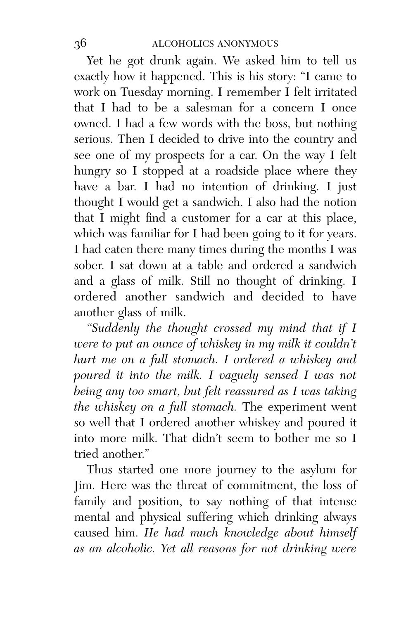Yet he got drunk again. We asked him to tell us exactly how it happened. This is his story: "I came to work on Tuesday morning. I remember I felt irritated that I had to be a salesman for a concern I once owned. I had a few words with the boss, but nothing serious. Then I decided to drive into the country and see one of my prospects for a car. On the way I felt hungry so I stopped at a roadside place where they have a bar. I had no intention of drinking. I just thought I would get a sandwich. I also had the notion that I might find a customer for a car at this place, which was familiar for I had been going to it for years. I had eaten there many times during the months I was sober. I sat down at a table and ordered a sandwich and a glass of milk. Still no thought of drinking. I ordered another sandwich and decided to have another glass of milk.

*"Suddenly the thought crossed my mind that if I were to put an ounce of whiskey in my milk it couldn't hurt me on a full stomach. I ordered a whiskey and poured it into the milk. I vaguely sensed I was not being any too smart, but felt reassured as I was taking the whiskey on a full stomach.* The experiment went so well that I ordered another whiskey and poured it into more milk. That didn't seem to bother me so I tried another.''

Thus started one more journey to the asylum for Jim. Here was the threat of commitment, the loss of family and position, to say nothing of that intense mental and physical suffering which drinking always caused him. *He had much knowledge about himself as an alcoholic. Yet all reasons for not drinking were*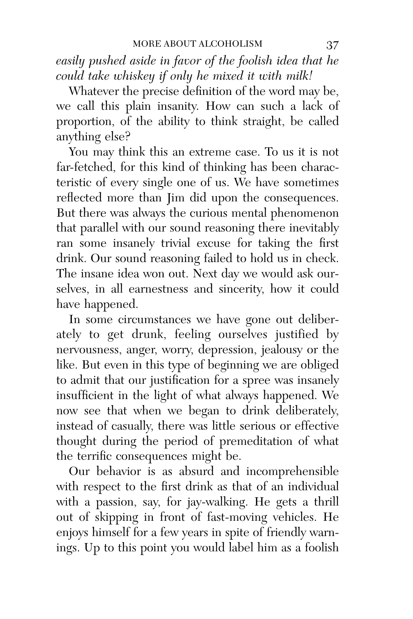*easily pushed aside in favor of the foolish idea that he could take whiskey if only he mixed it with milk!*

Whatever the precise definition of the word may be, we call this plain insanity. How can such a lack of proportion, of the ability to think straight, be called anything else?

You may think this an extreme case. To us it is not far-fetched, for this kind of thinking has been characteristic of every single one of us. We have sometimes reflected more than Jim did upon the consequences. But there was always the curious mental phenomenon that parallel with our sound reasoning there inevitably ran some insanely trivial excuse for taking the first drink. Our sound reasoning failed to hold us in check. The insane idea won out. Next day we would ask ourselves, in all earnestness and sincerity, how it could have happened.

In some circumstances we have gone out deliberately to get drunk, feeling ourselves justified by nervousness, anger, worry, depression, jealousy or the like. But even in this type of beginning we are obliged to admit that our justification for a spree was insanely insufficient in the light of what always happened. We now see that when we began to drink deliberately, instead of casually, there was little serious or effective thought during the period of premeditation of what the terrific consequences might be.

Our behavior is as absurd and incomprehensible with respect to the first drink as that of an individual with a passion, say, for jay-walking. He gets a thrill out of skipping in front of fast-moving vehicles. He enjoys himself for a few years in spite of friendly warnings. Up to this point you would label him as a foolish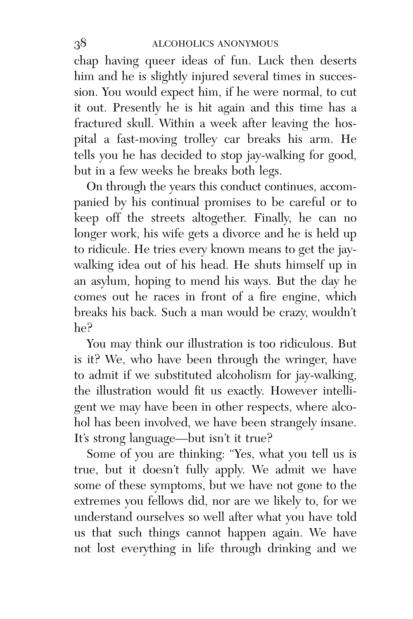chap having queer ideas of fun. Luck then deserts him and he is slightly injured several times in succession. You would expect him, if he were normal, to cut it out. Presently he is hit again and this time has a fractured skull. Within a week after leaving the hospital a fast-moving trolley car breaks his arm. He tells you he has decided to stop jay-walking for good, but in a few weeks he breaks both legs.

On through the years this conduct continues, accompanied by his continual promises to be careful or to keep off the streets altogether. Finally, he can no longer work, his wife gets a divorce and he is held up to ridicule. He tries every known means to get the jaywalking idea out of his head. He shuts himself up in an asylum, hoping to mend his ways. But the day he comes out he races in front of a fire engine, which breaks his back. Such a man would be crazy, wouldn't he?

You may think our illustration is too ridiculous. But is it? We, who have been through the wringer, have to admit if we substituted alcoholism for jay-walking, the illustration would fit us exactly. However intelligent we may have been in other respects, where alcohol has been involved, we have been strangely insane. It's strong language—but isn't it true?

Some of you are thinking: "Yes, what you tell us is true, but it doesn't fully apply. We admit we have some of these symptoms, but we have not gone to the extremes you fellows did, nor are we likely to, for we understand ourselves so well after what you have told us that such things cannot happen again. We have not lost everything in life through drinking and we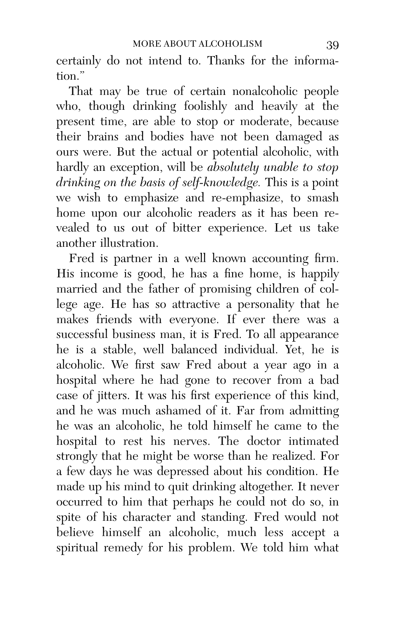certainly do not intend to. Thanks for the information.''

That may be true of certain nonalcoholic people who, though drinking foolishly and heavily at the present time, are able to stop or moderate, because their brains and bodies have not been damaged as ours were. But the actual or potential alcoholic, with hardly an exception, will be *absolutely unable to stop drinking on the basis of self-knowledge.* This is a point we wish to emphasize and re-emphasize, to smash home upon our alcoholic readers as it has been revealed to us out of bitter experience. Let us take another illustration.

Fred is partner in a well known accounting firm. His income is good, he has a fine home, is happily married and the father of promising children of college age. He has so attractive a personality that he makes friends with everyone. If ever there was a successful business man, it is Fred. To all appearance he is a stable, well balanced individual. Yet, he is alcoholic. We first saw Fred about a year ago in a hospital where he had gone to recover from a bad case of jitters. It was his first experience of this kind, and he was much ashamed of it. Far from admitting he was an alcoholic, he told himself he came to the hospital to rest his nerves. The doctor intimated strongly that he might be worse than he realized. For a few days he was depressed about his condition. He made up his mind to quit drinking altogether. It never occurred to him that perhaps he could not do so, in spite of his character and standing. Fred would not believe himself an alcoholic, much less accept a spiritual remedy for his problem. We told him what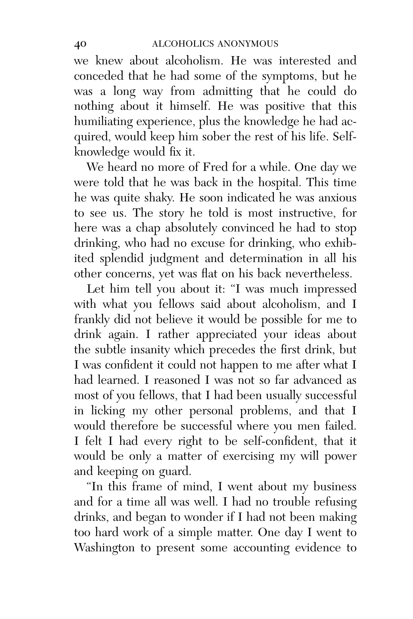we knew about alcoholism. He was interested and conceded that he had some of the symptoms, but he was a long way from admitting that he could do nothing about it himself. He was positive that this humiliating experience, plus the knowledge he had acquired, would keep him sober the rest of his life. Selfknowledge would fix it.

We heard no more of Fred for a while. One day we were told that he was back in the hospital. This time he was quite shaky. He soon indicated he was anxious to see us. The story he told is most instructive, for here was a chap absolutely convinced he had to stop drinking, who had no excuse for drinking, who exhibited splendid judgment and determination in all his other concerns, yet was flat on his back nevertheless.

Let him tell you about it: "I was much impressed with what you fellows said about alcoholism, and I frankly did not believe it would be possible for me to drink again. I rather appreciated your ideas about the subtle insanity which precedes the first drink, but I was confident it could not happen to me after what I had learned. I reasoned I was not so far advanced as most of you fellows, that I had been usually successful in licking my other personal problems, and that I would therefore be successful where you men failed. I felt I had every right to be self-confident, that it would be only a matter of exercising my will power and keeping on guard.

"In this frame of mind, I went about my business and for a time all was well. I had no trouble refusing drinks, and began to wonder if I had not been making too hard work of a simple matter. One day I went to Washington to present some accounting evidence to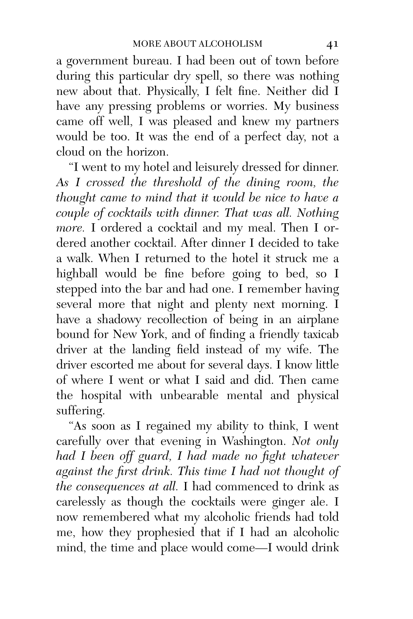a government bureau. I had been out of town before during this particular dry spell, so there was nothing new about that. Physically, I felt fine. Neither did I have any pressing problems or worries. My business came off well, I was pleased and knew my partners would be too. It was the end of a perfect day, not a cloud on the horizon.

"I went to my hotel and leisurely dressed for dinner. *As I crossed the threshold of the dining room, the thought came to mind that it would be nice to have a couple of cocktails with dinner. That was all. Nothing more.* I ordered a cocktail and my meal. Then I ordered another cocktail. After dinner I decided to take a walk. When I returned to the hotel it struck me a highball would be fine before going to bed, so I stepped into the bar and had one. I remember having several more that night and plenty next morning. I have a shadowy recollection of being in an airplane bound for New York, and of finding a friendly taxicab driver at the landing field instead of my wife. The driver escorted me about for several days. I know little of where I went or what I said and did. Then came the hospital with unbearable mental and physical suffering.

"As soon as I regained my ability to think, I went carefully over that evening in Washington. *Not only had I been off guard, I had made no fight whatever against the first drink. This time I had not thought of the consequences at all.* I had commenced to drink as carelessly as though the cocktails were ginger ale. I now remembered what my alcoholic friends had told me, how they prophesied that if I had an alcoholic mind, the time and place would come—I would drink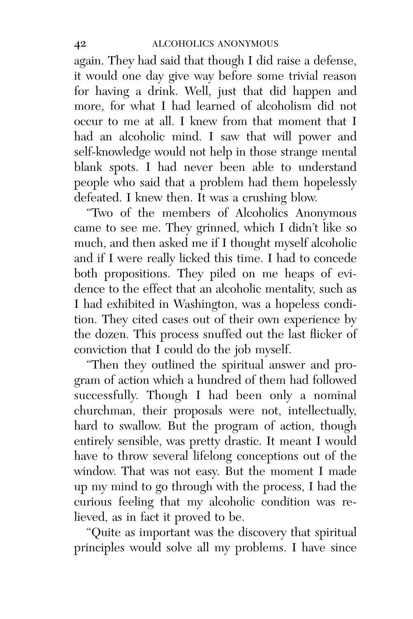again. They had said that though I did raise a defense, it would one day give way before some trivial reason for having a drink. Well, just that did happen and more, for what I had learned of alcoholism did not occur to me at all. I knew from that moment that I had an alcoholic mind. I saw that will power and self-knowledge would not help in those strange mental blank spots. I had never been able to understand people who said that a problem had them hopelessly defeated. I knew then. It was a crushing blow.

"Two of the members of Alcoholics Anonymous came to see me. They grinned, which I didn't like so much, and then asked me if I thought myself alcoholic and if I were really licked this time. I had to concede both propositions. They piled on me heaps of evidence to the effect that an alcoholic mentality, such as I had exhibited in Washington, was a hopeless condition. They cited cases out of their own experience by the dozen. This process snuffed out the last flicker of conviction that I could do the job myself.

"Then they outlined the spiritual answer and program of action which a hundred of them had followed successfully. Though I had been only a nominal churchman, their proposals were not, intellectually, hard to swallow. But the program of action, though entirely sensible, was pretty drastic. It meant I would have to throw several lifelong conceptions out of the window. That was not easy. But the moment I made up my mind to go through with the process, I had the curious feeling that my alcoholic condition was relieved, as in fact it proved to be.

"Quite as important was the discovery that spiritual principles would solve all my problems. I have since